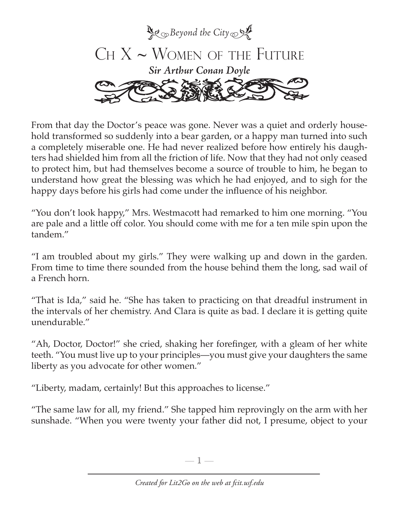

From that day the Doctor's peace was gone. Never was a quiet and orderly household transformed so suddenly into a bear garden, or a happy man turned into such a completely miserable one. He had never realized before how entirely his daughters had shielded him from all the friction of life. Now that they had not only ceased to protect him, but had themselves become a source of trouble to him, he began to understand how great the blessing was which he had enjoyed, and to sigh for the happy days before his girls had come under the influence of his neighbor.

"You don't look happy," Mrs. Westmacott had remarked to him one morning. "You are pale and a little off color. You should come with me for a ten mile spin upon the tandem."

"I am troubled about my girls." They were walking up and down in the garden. From time to time there sounded from the house behind them the long, sad wail of a French horn.

"That is Ida," said he. "She has taken to practicing on that dreadful instrument in the intervals of her chemistry. And Clara is quite as bad. I declare it is getting quite unendurable."

"Ah, Doctor, Doctor!" she cried, shaking her forefinger, with a gleam of her white teeth. "You must live up to your principles—you must give your daughters the same liberty as you advocate for other women."

"Liberty, madam, certainly! But this approaches to license."

"The same law for all, my friend." She tapped him reprovingly on the arm with her sunshade. "When you were twenty your father did not, I presume, object to your

—  $\mathbb{I}$  —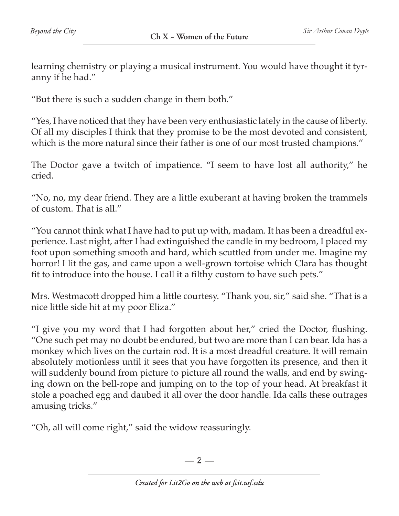learning chemistry or playing a musical instrument. You would have thought it tyranny if he had."

"But there is such a sudden change in them both."

"Yes, I have noticed that they have been very enthusiastic lately in the cause of liberty. Of all my disciples I think that they promise to be the most devoted and consistent, which is the more natural since their father is one of our most trusted champions."

The Doctor gave a twitch of impatience. "I seem to have lost all authority," he cried.

"No, no, my dear friend. They are a little exuberant at having broken the trammels of custom. That is all."

"You cannot think what I have had to put up with, madam. It has been a dreadful experience. Last night, after I had extinguished the candle in my bedroom, I placed my foot upon something smooth and hard, which scuttled from under me. Imagine my horror! I lit the gas, and came upon a well-grown tortoise which Clara has thought fit to introduce into the house. I call it a filthy custom to have such pets."

Mrs. Westmacott dropped him a little courtesy. "Thank you, sir," said she. "That is a nice little side hit at my poor Eliza."

"I give you my word that I had forgotten about her," cried the Doctor, flushing. "One such pet may no doubt be endured, but two are more than I can bear. Ida has a monkey which lives on the curtain rod. It is a most dreadful creature. It will remain absolutely motionless until it sees that you have forgotten its presence, and then it will suddenly bound from picture to picture all round the walls, and end by swinging down on the bell-rope and jumping on to the top of your head. At breakfast it stole a poached egg and daubed it all over the door handle. Ida calls these outrages amusing tricks."

"Oh, all will come right," said the widow reassuringly.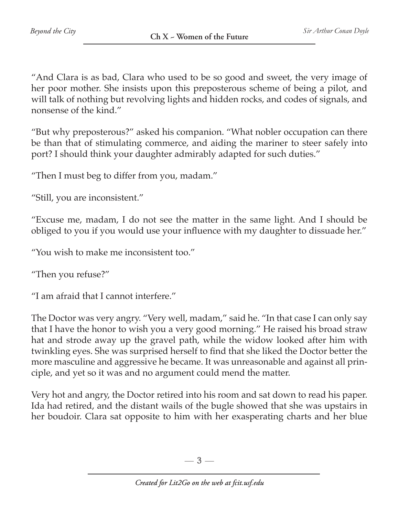"And Clara is as bad, Clara who used to be so good and sweet, the very image of her poor mother. She insists upon this preposterous scheme of being a pilot, and will talk of nothing but revolving lights and hidden rocks, and codes of signals, and nonsense of the kind."

"But why preposterous?" asked his companion. "What nobler occupation can there be than that of stimulating commerce, and aiding the mariner to steer safely into port? I should think your daughter admirably adapted for such duties."

"Then I must beg to differ from you, madam."

"Still, you are inconsistent."

"Excuse me, madam, I do not see the matter in the same light. And I should be obliged to you if you would use your influence with my daughter to dissuade her."

"You wish to make me inconsistent too."

"Then you refuse?"

"I am afraid that I cannot interfere."

The Doctor was very angry. "Very well, madam," said he. "In that case I can only say that I have the honor to wish you a very good morning." He raised his broad straw hat and strode away up the gravel path, while the widow looked after him with twinkling eyes. She was surprised herself to find that she liked the Doctor better the more masculine and aggressive he became. It was unreasonable and against all principle, and yet so it was and no argument could mend the matter.

Very hot and angry, the Doctor retired into his room and sat down to read his paper. Ida had retired, and the distant wails of the bugle showed that she was upstairs in her boudoir. Clara sat opposite to him with her exasperating charts and her blue

 $-3-$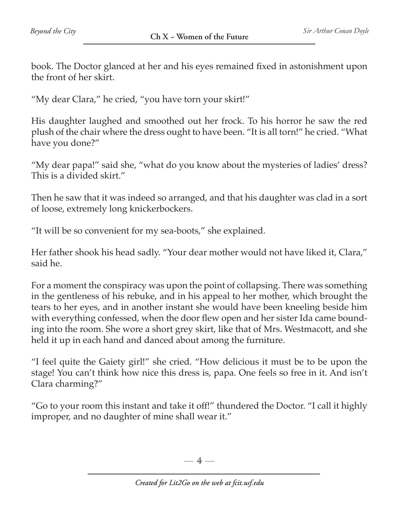book. The Doctor glanced at her and his eyes remained fixed in astonishment upon the front of her skirt.

"My dear Clara," he cried, "you have torn your skirt!"

His daughter laughed and smoothed out her frock. To his horror he saw the red plush of the chair where the dress ought to have been. "It is all torn!" he cried. "What have you done?"

"My dear papa!" said she, "what do you know about the mysteries of ladies' dress? This is a divided skirt."

Then he saw that it was indeed so arranged, and that his daughter was clad in a sort of loose, extremely long knickerbockers.

"It will be so convenient for my sea-boots," she explained.

Her father shook his head sadly. "Your dear mother would not have liked it, Clara," said he.

For a moment the conspiracy was upon the point of collapsing. There was something in the gentleness of his rebuke, and in his appeal to her mother, which brought the tears to her eyes, and in another instant she would have been kneeling beside him with everything confessed, when the door flew open and her sister Ida came bounding into the room. She wore a short grey skirt, like that of Mrs. Westmacott, and she held it up in each hand and danced about among the furniture.

"I feel quite the Gaiety girl!" she cried. "How delicious it must be to be upon the stage! You can't think how nice this dress is, papa. One feels so free in it. And isn't Clara charming?"

"Go to your room this instant and take it off!" thundered the Doctor. "I call it highly improper, and no daughter of mine shall wear it."

 $-4-$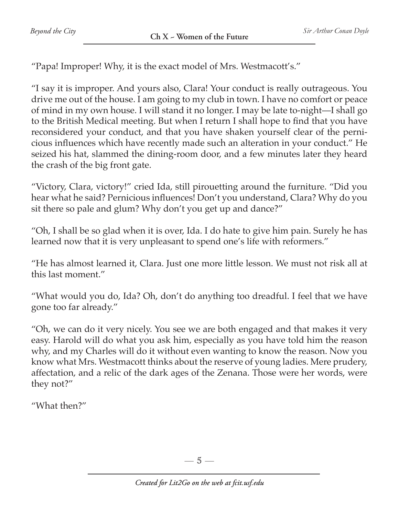"Papa! Improper! Why, it is the exact model of Mrs. Westmacott's."

"I say it is improper. And yours also, Clara! Your conduct is really outrageous. You drive me out of the house. I am going to my club in town. I have no comfort or peace of mind in my own house. I will stand it no longer. I may be late to-night—I shall go to the British Medical meeting. But when I return I shall hope to find that you have reconsidered your conduct, and that you have shaken yourself clear of the pernicious influences which have recently made such an alteration in your conduct." He seized his hat, slammed the dining-room door, and a few minutes later they heard the crash of the big front gate.

"Victory, Clara, victory!" cried Ida, still pirouetting around the furniture. "Did you hear what he said? Pernicious influences! Don't you understand, Clara? Why do you sit there so pale and glum? Why don't you get up and dance?"

"Oh, I shall be so glad when it is over, Ida. I do hate to give him pain. Surely he has learned now that it is very unpleasant to spend one's life with reformers."

"He has almost learned it, Clara. Just one more little lesson. We must not risk all at this last moment."

"What would you do, Ida? Oh, don't do anything too dreadful. I feel that we have gone too far already."

"Oh, we can do it very nicely. You see we are both engaged and that makes it very easy. Harold will do what you ask him, especially as you have told him the reason why, and my Charles will do it without even wanting to know the reason. Now you know what Mrs. Westmacott thinks about the reserve of young ladies. Mere prudery, affectation, and a relic of the dark ages of the Zenana. Those were her words, were they not?"

"What then?"

—  $5-$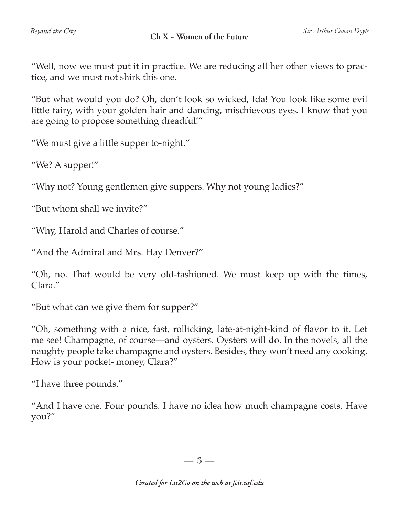"Well, now we must put it in practice. We are reducing all her other views to practice, and we must not shirk this one.

"But what would you do? Oh, don't look so wicked, Ida! You look like some evil little fairy, with your golden hair and dancing, mischievous eyes. I know that you are going to propose something dreadful!"

"We must give a little supper to-night."

"We? A supper!"

"Why not? Young gentlemen give suppers. Why not young ladies?"

"But whom shall we invite?"

"Why, Harold and Charles of course."

"And the Admiral and Mrs. Hay Denver?"

"Oh, no. That would be very old-fashioned. We must keep up with the times, Clara."

"But what can we give them for supper?"

"Oh, something with a nice, fast, rollicking, late-at-night-kind of flavor to it. Let me see! Champagne, of course—and oysters. Oysters will do. In the novels, all the naughty people take champagne and oysters. Besides, they won't need any cooking. How is your pocket- money, Clara?"

"I have three pounds."

"And I have one. Four pounds. I have no idea how much champagne costs. Have you?"

—  $6-$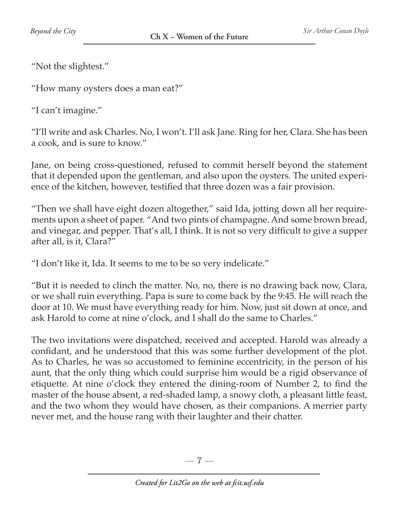"Not the slightest."

"How many oysters does a man eat?"

"I can't imagine."

"I'll write and ask Charles. No, I won't. I'll ask Jane. Ring for her, Clara. She has been a cook, and is sure to know."

Jane, on being cross-questioned, refused to commit herself beyond the statement that it depended upon the gentleman, and also upon the oysters. The united experience of the kitchen, however, testified that three dozen was a fair provision.

"Then we shall have eight dozen altogether," said Ida, jotting down all her requirements upon a sheet of paper. "And two pints of champagne. And some brown bread, and vinegar, and pepper. That's all, I think. It is not so very difficult to give a supper after all, is it, Clara?"

"I don't like it, Ida. It seems to me to be so very indelicate."

"But it is needed to clinch the matter. No, no, there is no drawing back now, Clara, or we shall ruin everything. Papa is sure to come back by the 9:45. He will reach the door at 10. We must have everything ready for him. Now, just sit down at once, and ask Harold to come at nine o'clock, and I shall do the same to Charles."

The two invitations were dispatched, received and accepted. Harold was already a confidant, and he understood that this was some further development of the plot. As to Charles, he was so accustomed to feminine eccentricity, in the person of his aunt, that the only thing which could surprise him would be a rigid observance of etiquette. At nine o'clock they entered the dining-room of Number 2, to find the master of the house absent, a red-shaded lamp, a snowy cloth, a pleasant little feast, and the two whom they would have chosen, as their companions. A merrier party never met, and the house rang with their laughter and their chatter.

 $-7-$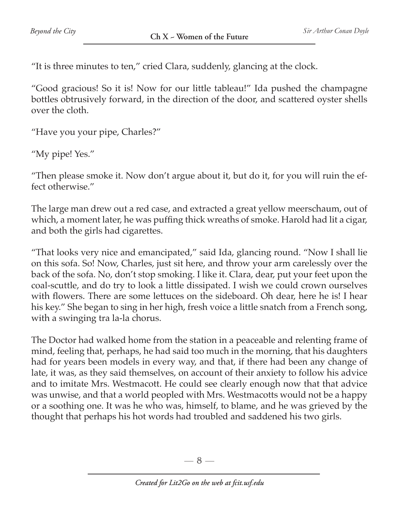"It is three minutes to ten," cried Clara, suddenly, glancing at the clock.

"Good gracious! So it is! Now for our little tableau!" Ida pushed the champagne bottles obtrusively forward, in the direction of the door, and scattered oyster shells over the cloth.

"Have you your pipe, Charles?"

"My pipe! Yes."

"Then please smoke it. Now don't argue about it, but do it, for you will ruin the effect otherwise."

The large man drew out a red case, and extracted a great yellow meerschaum, out of which, a moment later, he was puffing thick wreaths of smoke. Harold had lit a cigar, and both the girls had cigarettes.

"That looks very nice and emancipated," said Ida, glancing round. "Now I shall lie on this sofa. So! Now, Charles, just sit here, and throw your arm carelessly over the back of the sofa. No, don't stop smoking. I like it. Clara, dear, put your feet upon the coal-scuttle, and do try to look a little dissipated. I wish we could crown ourselves with flowers. There are some lettuces on the sideboard. Oh dear, here he is! I hear his key." She began to sing in her high, fresh voice a little snatch from a French song, with a swinging tra la-la chorus.

The Doctor had walked home from the station in a peaceable and relenting frame of mind, feeling that, perhaps, he had said too much in the morning, that his daughters had for years been models in every way, and that, if there had been any change of late, it was, as they said themselves, on account of their anxiety to follow his advice and to imitate Mrs. Westmacott. He could see clearly enough now that that advice was unwise, and that a world peopled with Mrs. Westmacotts would not be a happy or a soothing one. It was he who was, himself, to blame, and he was grieved by the thought that perhaps his hot words had troubled and saddened his two girls.

 $-8-$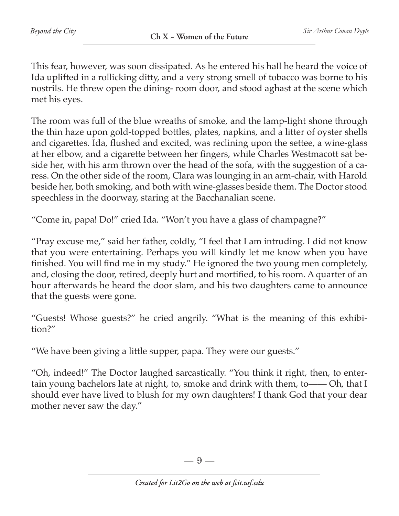This fear, however, was soon dissipated. As he entered his hall he heard the voice of Ida uplifted in a rollicking ditty, and a very strong smell of tobacco was borne to his nostrils. He threw open the dining- room door, and stood aghast at the scene which met his eyes.

The room was full of the blue wreaths of smoke, and the lamp-light shone through the thin haze upon gold-topped bottles, plates, napkins, and a litter of oyster shells and cigarettes. Ida, flushed and excited, was reclining upon the settee, a wine-glass at her elbow, and a cigarette between her fingers, while Charles Westmacott sat beside her, with his arm thrown over the head of the sofa, with the suggestion of a caress. On the other side of the room, Clara was lounging in an arm-chair, with Harold beside her, both smoking, and both with wine-glasses beside them. The Doctor stood speechless in the doorway, staring at the Bacchanalian scene.

"Come in, papa! Do!" cried Ida. "Won't you have a glass of champagne?"

"Pray excuse me," said her father, coldly, "I feel that I am intruding. I did not know that you were entertaining. Perhaps you will kindly let me know when you have finished. You will find me in my study." He ignored the two young men completely, and, closing the door, retired, deeply hurt and mortified, to his room. A quarter of an hour afterwards he heard the door slam, and his two daughters came to announce that the guests were gone.

"Guests! Whose guests?" he cried angrily. "What is the meaning of this exhibition?"

"We have been giving a little supper, papa. They were our guests."

"Oh, indeed!" The Doctor laughed sarcastically. "You think it right, then, to entertain young bachelors late at night, to, smoke and drink with them, to—— Oh, that I should ever have lived to blush for my own daughters! I thank God that your dear mother never saw the day."

 $-9-$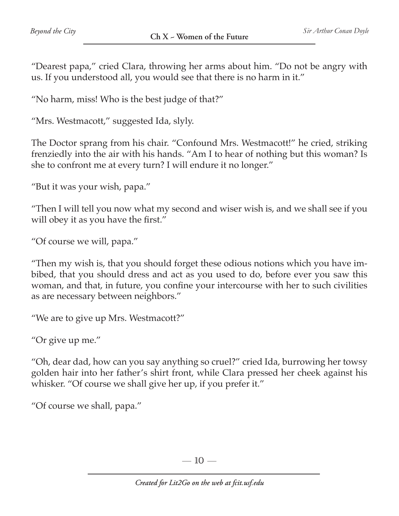"Dearest papa," cried Clara, throwing her arms about him. "Do not be angry with us. If you understood all, you would see that there is no harm in it."

"No harm, miss! Who is the best judge of that?"

"Mrs. Westmacott," suggested Ida, slyly.

The Doctor sprang from his chair. "Confound Mrs. Westmacott!" he cried, striking frenziedly into the air with his hands. "Am I to hear of nothing but this woman? Is she to confront me at every turn? I will endure it no longer."

"But it was your wish, papa."

"Then I will tell you now what my second and wiser wish is, and we shall see if you will obey it as you have the first."

"Of course we will, papa."

"Then my wish is, that you should forget these odious notions which you have imbibed, that you should dress and act as you used to do, before ever you saw this woman, and that, in future, you confine your intercourse with her to such civilities as are necessary between neighbors."

"We are to give up Mrs. Westmacott?"

"Or give up me."

"Oh, dear dad, how can you say anything so cruel?" cried Ida, burrowing her towsy golden hair into her father's shirt front, while Clara pressed her cheek against his whisker. "Of course we shall give her up, if you prefer it."

"Of course we shall, papa."

 $-10-$